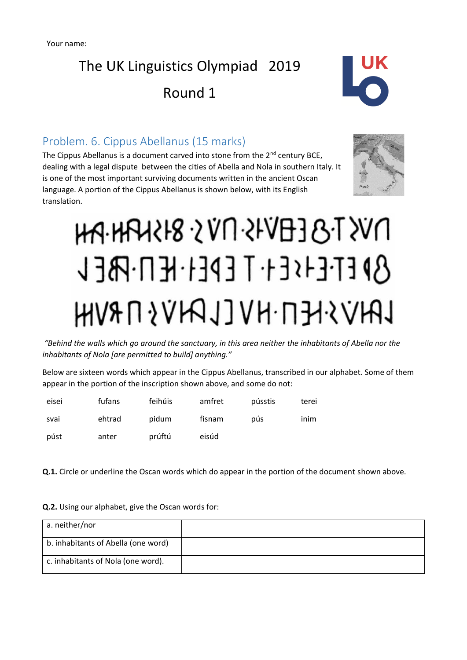The UK Linguistics Olympiad 2019

Round 1



### Problem. 6. Cippus Abellanus (15 marks)

The Cippus Abellanus is a document carved into stone from the  $2^{nd}$  century BCE, dealing with a legal dispute between the cities of Abella and Nola in southern Italy. It is one of the most important surviving documents written in the ancient Oscan language. A portion of the Cippus Abellanus is shown below, with its English translation.



# **MA.HAURER 2 VN 24VB3 8-T XVN**  $8$ ) ETE-ISE+T EPEH-HEN-PAEL HNVSHEN-HV[LRHV}NH

*"Behind the walls which go around the sanctuary, in this area neither the inhabitants of Abella nor the inhabitants of Nola [are permitted to build] anything."*

Below are sixteen words which appear in the Cippus Abellanus, transcribed in our alphabet. Some of them appear in the portion of the inscription shown above, and some do not:

| eisei | fufans | feihúis | amfret | pússtis | terei |
|-------|--------|---------|--------|---------|-------|
| svai  | ehtrad | pidum   | fisnam | pús     | inim  |
| púst  | anter  | prúftú  | eisúd  |         |       |

**Q.1.** Circle or underline the Oscan words which do appear in the portion of the document shown above.

#### **Q.2.** Using our alphabet, give the Oscan words for:

| a. neither/nor                      |  |
|-------------------------------------|--|
| b. inhabitants of Abella (one word) |  |
| c. inhabitants of Nola (one word).  |  |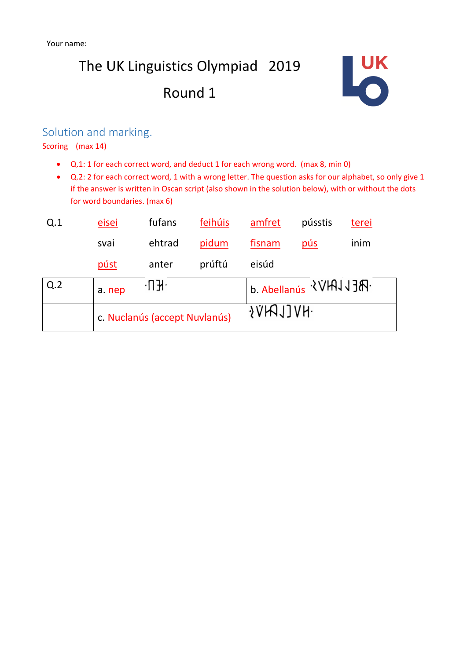### The UK Linguistics Olympiad 2019 Round 1



### Solution and marking.

Scoring (max 14)

- Q.1: 1 for each correct word, and deduct 1 for each wrong word. (max 8, min 0)
- Q.2: 2 for each correct word, 1 with a wrong letter. The question asks for our alphabet, so only give 1 if the answer is written in Oscan script (also shown in the solution below), with or without the dots for word boundaries. (max 6)

| Q.1 | eisei                         | fufans | feihúis | amfret               | pússtis    | terei |  |
|-----|-------------------------------|--------|---------|----------------------|------------|-------|--|
|     | svai                          | ehtrad | pidum   | fisnam               | <u>pús</u> | inim  |  |
|     | púst                          | anter  | prúftú  | eisúd                |            |       |  |
| Q.2 | $\cdot$ H $\cdot$<br>a. nep   |        |         | b. Abellanús WHAJJA. |            |       |  |
|     | c. Nuclanús (accept Nuvlanús) |        |         | $\{VHAJJVH\}$        |            |       |  |